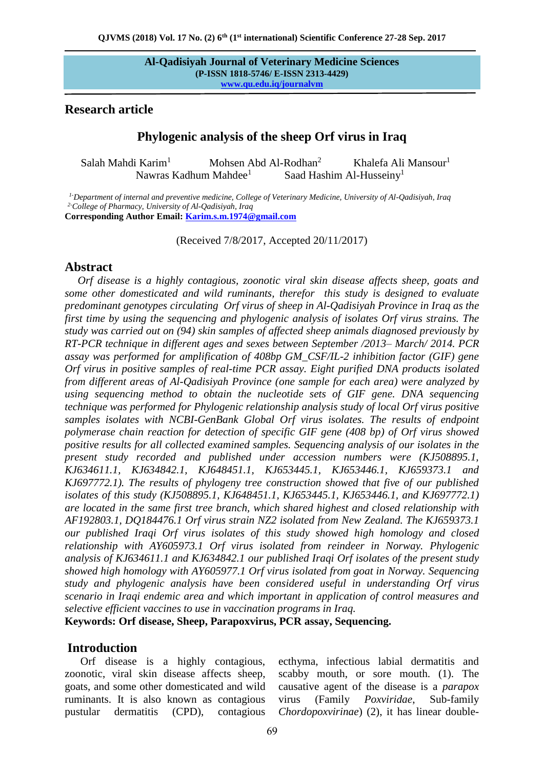### **Research article**

# **Phylogenic analysis of the sheep Orf virus in Iraq**

Salah Mahdi Karim<sup>1</sup> Mohsen Abd Al-Rodhan<sup>2</sup> Khalefa Ali Mansour<sup>1</sup> Nawras Kadhum Mahdee<sup>1</sup> Saad Hashim Al-Husseiny<sup>1</sup>

 *1-Department of internal and preventive medicine, College of Veterinary Medicine, University of Al-Qadisiyah, Iraq 2-College of Pharmacy, University of Al-Qadisiyah, Iraq*

**Corresponding Author Email: [Karim.s.m.1974@gmail.com](mailto:Karim.s.m.1974@gmail.com)**

(Received 7/8/2017, Accepted 20/11/2017)

### **Abstract**

*Orf disease is a highly contagious, zoonotic viral skin disease affects sheep, goats and some other domesticated and wild ruminants, therefor this study is designed to evaluate predominant genotypes circulating Orf virus of sheep in Al-Qadisiyah Province in Iraq as the first time by using the sequencing and phylogenic analysis of isolates Orf virus strains. The study was carried out on (94) skin samples of affected sheep animals diagnosed previously by RT-PCR technique in different ages and sexes between September /2013– March/ 2014. PCR assay was performed for amplification of 408bp GM\_CSF/IL-2 inhibition factor (GIF) gene Orf virus in positive samples of real-time PCR assay. Eight purified DNA products isolated from different areas of Al-Qadisiyah Province (one sample for each area) were analyzed by using sequencing method to obtain the nucleotide sets of GIF gene. DNA sequencing technique was performed for Phylogenic relationship analysis study of local Orf virus positive samples isolates with NCBI-GenBank Global Orf virus isolates. The results of endpoint polymerase chain reaction for detection of specific GIF gene (408 bp) of Orf virus showed positive results for all collected examined samples. Sequencing analysis of our isolates in the present study recorded and published under accession numbers were (KJ508895.1, KJ634611.1, KJ634842.1, KJ648451.1, KJ653445.1, KJ653446.1, KJ659373.1 and KJ697772.1). The results of phylogeny tree construction showed that five of our published isolates of this study (KJ508895.1, KJ648451.1, KJ653445.1, KJ653446.1, and KJ697772.1) are located in the same first tree branch, which shared highest and closed relationship with AF192803.1, DQ184476.1 Orf virus strain NZ2 isolated from New Zealand. The KJ659373.1 our published Iraqi Orf virus isolates of this study showed high homology and closed relationship with AY605973.1 Orf virus isolated from reindeer in Norway. Phylogenic analysis of KJ634611.1 and KJ634842.1 our published Iraqi Orf isolates of the present study showed high homology with AY605977.1 Orf virus isolated from goat in Norway. Sequencing study and phylogenic analysis have been considered useful in understanding Orf virus scenario in Iraqi endemic area and which important in application of control measures and selective efficient vaccines to use in vaccination programs in Iraq.* 

**Keywords: Orf disease, Sheep, Parapoxvirus, PCR assay, Sequencing.**

### **Introduction**

Orf disease is a highly contagious, zoonotic, viral skin disease affects sheep, goats, and some other domesticated and wild ruminants. It is also known as contagious pustular dermatitis (CPD), contagious

ecthyma, infectious labial dermatitis and scabby mouth, or sore mouth. (1). The causative agent of the disease is a *parapox* virus (Family *Poxviridae*, Sub-family *Chordopoxvirinae*) (2), it has linear double-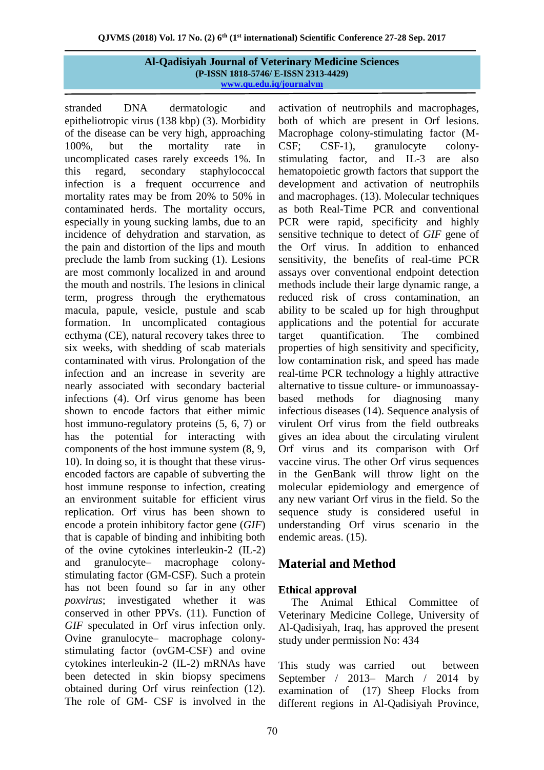stranded DNA dermatologic and epitheliotropic virus (138 kbp) (3). Morbidity of the disease can be very high, approaching 100%, but the mortality rate in uncomplicated cases rarely exceeds 1%. In this regard, secondary staphylococcal infection is a frequent occurrence and mortality rates may be from 20% to 50% in contaminated herds. The mortality occurs, especially in young sucking lambs, due to an incidence of dehydration and starvation, as the pain and distortion of the lips and mouth preclude the lamb from sucking (1). Lesions are most commonly localized in and around the mouth and nostrils. The lesions in clinical term, progress through the erythematous macula, papule, vesicle, pustule and scab formation. In uncomplicated contagious ecthyma (CE), natural recovery takes three to six weeks, with shedding of scab materials contaminated with virus. Prolongation of the infection and an increase in severity are nearly associated with secondary bacterial infections (4). Orf virus genome has been shown to encode factors that either mimic host immuno-regulatory proteins (5, 6, 7) or has the potential for interacting with components of the host immune system (8, 9, 10). In doing so, it is thought that these virusencoded factors are capable of subverting the host immune response to infection, creating an environment suitable for efficient virus replication. Orf virus has been shown to encode a protein inhibitory factor gene (*GIF*) that is capable of binding and inhibiting both of the ovine cytokines interleukin-2 (IL-2) and granulocyte– macrophage colonystimulating factor (GM-CSF). Such a protein has not been found so far in any other *poxvirus*; investigated whether it was conserved in other PPVs. (11). Function of *GIF* speculated in Orf virus infection only. Ovine granulocyte– macrophage colonystimulating factor (ovGM-CSF) and ovine cytokines interleukin-2 (IL-2) mRNAs have been detected in skin biopsy specimens obtained during Orf virus reinfection (12). The role of GM- CSF is involved in the

activation of neutrophils and macrophages, both of which are present in Orf lesions. Macrophage colony-stimulating factor (M-CSF; CSF-1), granulocyte colonystimulating factor, and IL-3 are also hematopoietic growth factors that support the development and activation of neutrophils and macrophages. (13). Molecular techniques as both Real-Time PCR and conventional PCR were rapid, specificity and highly sensitive technique to detect of *GIF* gene of the Orf virus. In addition to enhanced sensitivity, the benefits of real-time PCR assays over conventional endpoint detection methods include their large dynamic range, a reduced risk of cross contamination, an ability to be scaled up for high throughput applications and the potential for accurate target quantification. The combined properties of high sensitivity and specificity, low contamination risk, and speed has made real-time PCR technology a highly attractive alternative to tissue culture- or immunoassaybased methods for diagnosing many infectious diseases (14). Sequence analysis of virulent Orf virus from the field outbreaks gives an idea about the circulating virulent Orf virus and its comparison with Orf vaccine virus. The other Orf virus sequences in the GenBank will throw light on the molecular epidemiology and emergence of any new variant Orf virus in the field. So the sequence study is considered useful in understanding Orf virus scenario in the endemic areas. (15).

# **Material and Method**

# **Ethical approval**

The Animal Ethical Committee of Veterinary Medicine College, University of Al-Qadisiyah, Iraq, has approved the present study under permission No: 434

This study was carried out between September / 2013– March / 2014 by examination of (17) Sheep Flocks from different regions in Al-Qadisiyah Province,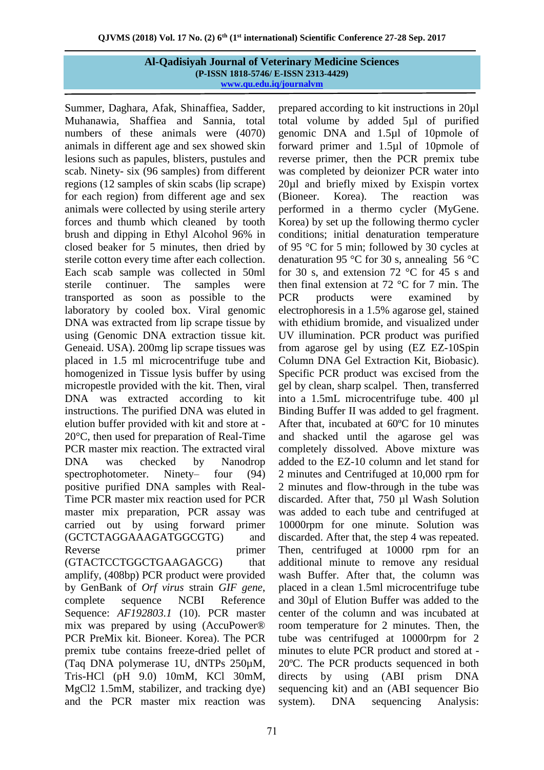Summer, Daghara, Afak, Shinaffiea, Sadder, Muhanawia, Shaffiea and Sannia, total numbers of these animals were (4070) animals in different age and sex showed skin lesions such as papules, blisters, pustules and scab. Ninety- six (96 samples) from different regions (12 samples of skin scabs (lip scrape) for each region) from different age and sex animals were collected by using sterile artery forces and thumb which cleaned by tooth brush and dipping in Ethyl Alcohol 96% in closed beaker for 5 minutes, then dried by sterile cotton every time after each collection. Each scab sample was collected in 50ml sterile continuer. The samples were transported as soon as possible to the laboratory by cooled box. Viral genomic DNA was extracted from lip scrape tissue by using (Genomic DNA extraction tissue kit. Geneaid. USA). 200mg lip scrape tissues was placed in 1.5 ml microcentrifuge tube and homogenized in Tissue lysis buffer by using micropestle provided with the kit. Then, viral DNA was extracted according to kit instructions. The purified DNA was eluted in elution buffer provided with kit and store at - 20°C, then used for preparation of Real-Time PCR master mix reaction. The extracted viral DNA was checked by Nanodrop spectrophotometer. Ninety– four (94) positive purified DNA samples with Real-Time PCR master mix reaction used for PCR master mix preparation, PCR assay was carried out by using forward primer (GCTCTAGGAAAGATGGCGTG) and Reverse primer (GTACTCCTGGCTGAAGAGCG) that amplify, (408bp) PCR product were provided by GenBank of *Orf virus* strain *GIF gene*, complete sequence NCBI Reference Sequence: *AF192803.1* (10). PCR master mix was prepared by using (AccuPower® PCR PreMix kit. Bioneer. Korea). The PCR premix tube contains freeze-dried pellet of (Taq DNA polymerase 1U, dNTPs 250µM, Tris-HCl (pH 9.0) 10mM, KCl 30mM, MgCl2 1.5mM, stabilizer, and tracking dye) and the PCR master mix reaction was

prepared according to kit instructions in 20µl total volume by added 5µl of purified genomic DNA and 1.5µl of 10pmole of forward primer and 1.5µl of 10pmole of reverse primer, then the PCR premix tube was completed by deionizer PCR water into 20µl and briefly mixed by Exispin vortex (Bioneer. Korea). The reaction was performed in a thermo cycler (MyGene. Korea) by set up the following thermo cycler conditions; initial denaturation temperature of 95 °C for 5 min; followed by 30 cycles at denaturation 95 °C for 30 s, annealing 56 °C for 30 s, and extension 72  $\degree$ C for 45 s and then final extension at 72 °C for 7 min. The PCR products were examined by electrophoresis in a 1.5% agarose gel, stained with ethidium bromide, and visualized under UV illumination. PCR product was purified from agarose gel by using (EZ EZ-10Spin Column DNA Gel Extraction Kit, Biobasic). Specific PCR product was excised from the gel by clean, sharp scalpel. Then, transferred into a 1.5mL microcentrifuge tube. 400 µl Binding Buffer II was added to gel fragment. After that, incubated at 60ºC for 10 minutes and shacked until the agarose gel was completely dissolved. Above mixture was added to the EZ-10 column and let stand for 2 minutes and Centrifuged at 10,000 rpm for 2 minutes and flow-through in the tube was discarded. After that, 750 µl Wash Solution was added to each tube and centrifuged at 10000rpm for one minute. Solution was discarded. After that, the step 4 was repeated. Then, centrifuged at 10000 rpm for an additional minute to remove any residual wash Buffer. After that, the column was placed in a clean 1.5ml microcentrifuge tube and 30µl of Elution Buffer was added to the center of the column and was incubated at room temperature for 2 minutes. Then, the tube was centrifuged at 10000rpm for 2 minutes to elute PCR product and stored at - 20ºC. The PCR products sequenced in both directs by using (ABI prism DNA sequencing kit) and an (ABI sequencer Bio system). DNA sequencing Analysis: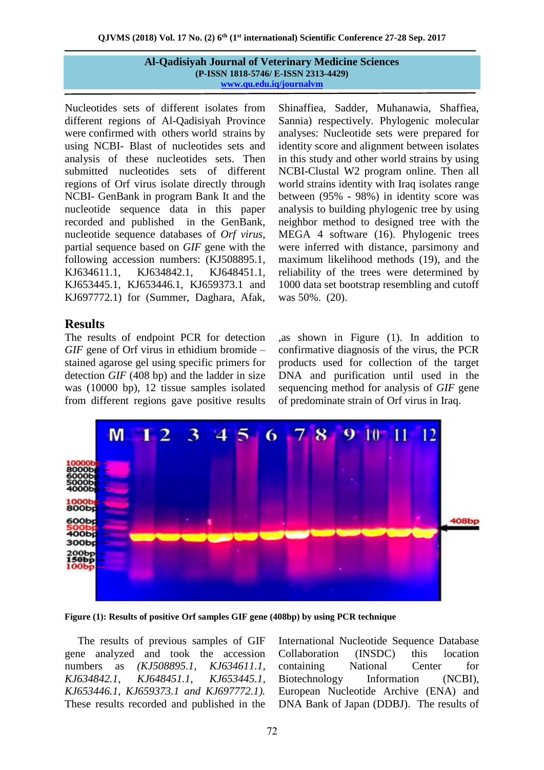Nucleotides sets of different isolates from different regions of Al-Qadisiyah Province were confirmed with others world strains by using NCBI- Blast of nucleotides sets and analysis of these nucleotides sets. Then submitted nucleotides sets of different regions of Orf virus isolate directly through NCBI- GenBank in program Bank It and the nucleotide sequence data in this paper recorded and published in the GenBank, nucleotide sequence databases of *Orf virus*, partial sequence based on *GIF* gene with the following accession numbers: (KJ508895.1, KJ634611.1, KJ634842.1, KJ648451.1, KJ653445.1, KJ653446.1, KJ659373.1 and KJ697772.1) for (Summer, Daghara, Afak,

# **Results**

The results of endpoint PCR for detection *GIF* gene of Orf virus in ethidium bromide – stained agarose gel using specific primers for detection *GIF* (408 bp) and the ladder in size was (10000 bp), 12 tissue samples isolated from different regions gave positive results

Shinaffiea, Sadder, Muhanawia, Shaffiea, Sannia) respectively. Phylogenic molecular analyses: Nucleotide sets were prepared for identity score and alignment between isolates in this study and other world strains by using NCBI-Clustal W2 program online. Then all world strains identity with Iraq isolates range between (95% - 98%) in identity score was analysis to building phylogenic tree by using neighbor method to designed tree with the MEGA 4 software (16). Phylogenic trees were inferred with distance, parsimony and maximum likelihood methods (19), and the reliability of the trees were determined by 1000 data set bootstrap resembling and cutoff was 50%. (20).

,as shown in Figure (1). In addition to confirmative diagnosis of the virus, the PCR products used for collection of the target DNA and purification until used in the sequencing method for analysis of *GIF* gene of predominate strain of Orf virus in Iraq.



**Figure (1): Results of positive Orf samples GIF gene (408bp) by using PCR technique** 

The results of previous samples of GIF gene analyzed and took the accession numbers as *(KJ508895.1, KJ634611.1, KJ634842.1, KJ648451.1, KJ653445.1, KJ653446.1, KJ659373.1 and KJ697772.1).* These results recorded and published in the

International Nucleotide Sequence Database Collaboration (INSDC) this location containing National Center for Biotechnology Information (NCBI), European Nucleotide Archive (ENA) and DNA Bank of Japan (DDBJ). The results of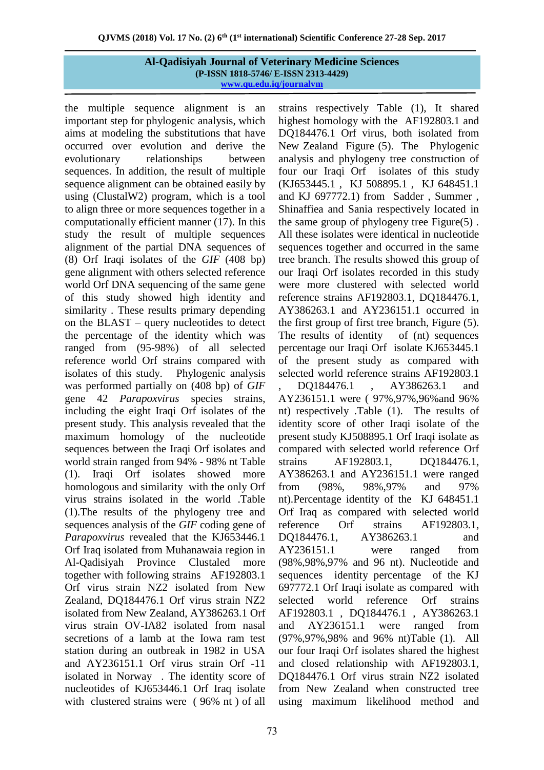the multiple sequence alignment is an important step for phylogenic analysis, which aims at modeling the substitutions that have occurred over evolution and derive the evolutionary relationships between sequences. In addition, the result of multiple sequence alignment can be obtained easily by using (ClustalW2) program, which is a tool to align three or more sequences together in a computationally efficient manner (17). In this study the result of multiple sequences alignment of the partial DNA sequences of (8) Orf Iraqi isolates of the *GIF* (408 bp) gene alignment with others selected reference world Orf DNA sequencing of the same gene of this study showed high identity and similarity . These results primary depending on the BLAST – query nucleotides to detect the percentage of the identity which was ranged from (95-98%) of all selected reference world Orf strains compared with isolates of this study. Phylogenic analysis was performed partially on (408 bp) of *GIF* gene 42 *Parapoxvirus* species strains, including the eight Iraqi Orf isolates of the present study. This analysis revealed that the maximum homology of the nucleotide sequences between the Iraqi Orf isolates and world strain ranged from 94% - 98% nt Table (1). Iraqi Orf isolates showed more homologous and similarity with the only Orf virus strains isolated in the world .Table (1).The results of the phylogeny tree and sequences analysis of the *GIF* coding gene of *Parapoxvirus* revealed that the KJ653446.1 Orf Iraq isolated from Muhanawaia region in Al-Qadisiyah Province Clustaled more together with following strains [AF192803.1](http://www.ncbi.nlm.nih.gov/nucleotide/6851290?report=genbank&log$=nucltop&blast_rank=2&RID=AESU354X014) Orf virus strain NZ2 isolated from New Zealand, DQ184476.1 Orf virus strain NZ2 isolated from New Zealand, AY386263.1 Orf virus strain OV-IA82 isolated from nasal secretions of a lamb at the Iowa ram test station during an outbreak in 1982 in USA and AY236151.1 Orf virus strain Orf -11 isolated in Norway . The identity score of nucleotides of KJ653446.1 Orf Iraq isolate with clustered strains were ( 96% nt ) of all

strains respectively Table (1), It shared highest homology with the [AF192803.1](http://www.ncbi.nlm.nih.gov/nucleotide/6851290?report=genbank&log$=nucltop&blast_rank=2&RID=AESU354X014) and DQ184476.1 Orf virus, both isolated from New Zealand Figure (5). The Phylogenic analysis and phylogeny tree construction of four our Iraqi Orf isolates of this study (KJ653445.1 , KJ 508895.1 , KJ 648451.1 and KJ 697772.1) from Sadder , Summer , Shinaffiea and Sania respectively located in the same group of phylogeny tree Figure(5) . All these isolates were identical in nucleotide sequences together and occurred in the same tree branch. The results showed this group of our Iraqi Orf isolates recorded in this study were more clustered with selected world reference strains AF192803.1, DQ184476.1, AY386263.1 and AY236151.1 occurred in the first group of first tree branch, Figure (5). The results of identity of (nt) sequences percentage our Iraqi Orf isolate KJ653445.1 of the present study as compared with selected world reference strains AF192803.1 , DQ184476.1 , AY386263.1 and AY236151.1 were ( 97%,97%,96%and 96% nt) respectively .Table (1). The results of identity score of other Iraqi isolate of the present study KJ508895.1 Orf Iraqi isolate as compared with selected world reference Orf strains AF192803.1, DQ184476.1, AY386263.1 and AY236151.1 were ranged from (98%, 98%,97% and 97% nt).Percentage identity of the KJ 648451.1 Orf Iraq as compared with selected world reference Orf strains AF192803.1, DO184476.1, AY386263.1 and AY236151.1 were ranged from (98%,98%,97% and 96 nt). Nucleotide and sequences identity percentage of the KJ 697772.1 Orf Iraqi isolate as compared with selected world reference Orf strains AF192803.1 , DQ184476.1 , AY386263.1 and AY236151.1 were ranged from (97%,97%,98% and 96% nt)Table (1). All our four Iraqi Orf isolates shared the highest and closed relationship with AF192803.1, DQ184476.1 Orf virus strain NZ2 isolated from New Zealand when constructed tree using maximum likelihood method and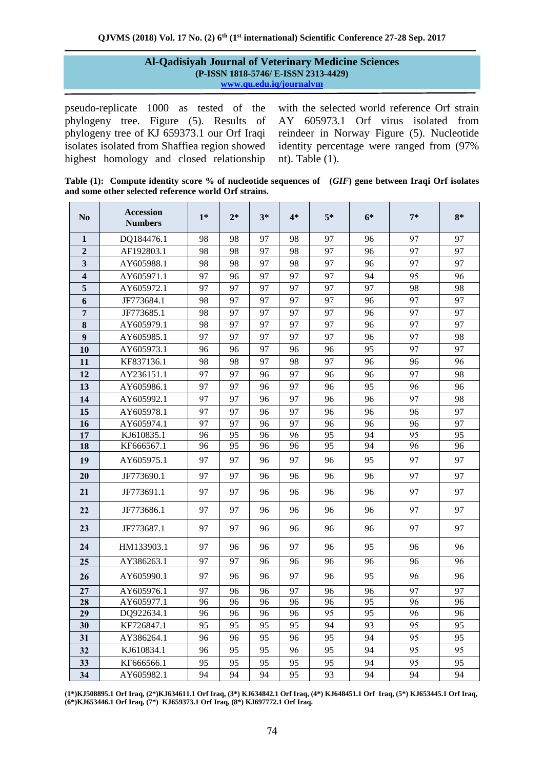pseudo-replicate 1000 as tested of the phylogeny tree. Figure (5). Results of phylogeny tree of KJ 659373.1 our Orf Iraqi isolates isolated from Shaffiea region showed highest homology and closed relationship

with the selected world reference Orf strain AY 605973.1 Orf virus isolated from reindeer in Norway Figure (5). Nucleotide identity percentage were ranged from (97% nt). Table (1).

**Table (1): Compute identity score % of nucleotide sequences of (***GIF***) gene between Iraqi Orf isolates and some other selected reference world Orf strains.**

| N <sub>0</sub>          | <b>Accession</b><br><b>Numbers</b> | $1*$ | $2*$ | $3*$ | $4*$ | $5*$ | $6*$ | $7*$ | $8*$ |
|-------------------------|------------------------------------|------|------|------|------|------|------|------|------|
| $\mathbf 1$             | DQ184476.1                         | 98   | 98   | 97   | 98   | 97   | 96   | 97   | 97   |
| $\overline{2}$          | AF192803.1                         | 98   | 98   | 97   | 98   | 97   | 96   | 97   | 97   |
| 3                       | AY605988.1                         | 98   | 98   | 97   | 98   | 97   | 96   | 97   | 97   |
| $\overline{\mathbf{4}}$ | AY605971.1                         | 97   | 96   | 97   | 97   | 97   | 94   | 95   | 96   |
| 5                       | AY605972.1                         | 97   | 97   | 97   | 97   | 97   | 97   | 98   | 98   |
| 6                       | JF773684.1                         | 98   | 97   | 97   | 97   | 97   | 96   | 97   | 97   |
| 7                       | JF773685.1                         | 98   | 97   | 97   | 97   | 97   | 96   | 97   | 97   |
| 8                       | AY605979.1                         | 98   | 97   | 97   | 97   | 97   | 96   | 97   | 97   |
| $\boldsymbol{9}$        | AY605985.1                         | 97   | 97   | 97   | 97   | 97   | 96   | 97   | 98   |
| 10                      | AY605973.1                         | 96   | 96   | 97   | 96   | 96   | 95   | 97   | 97   |
| 11                      | KF837136.1                         | 98   | 98   | 97   | 98   | 97   | 96   | 96   | 96   |
| 12                      | AY236151.1                         | 97   | 97   | 96   | 97   | 96   | 96   | 97   | 98   |
| 13                      | AY605986.1                         | 97   | 97   | 96   | 97   | 96   | 95   | 96   | 96   |
| 14                      | AY605992.1                         | 97   | 97   | 96   | 97   | 96   | 96   | 97   | 98   |
| 15                      | AY605978.1                         | 97   | 97   | 96   | 97   | 96   | 96   | 96   | 97   |
| 16                      | AY605974.1                         | 97   | 97   | 96   | 97   | 96   | 96   | 96   | 97   |
| 17                      | KJ610835.1                         | 96   | 95   | 96   | 96   | 95   | 94   | 95   | 95   |
| 18                      | KF666567.1                         | 96   | 95   | 96   | 96   | 95   | 94   | 96   | 96   |
| 19                      | AY605975.1                         | 97   | 97   | 96   | 97   | 96   | 95   | 97   | 97   |
| 20                      | JF773690.1                         | 97   | 97   | 96   | 96   | 96   | 96   | 97   | 97   |
| 21                      | JF773691.1                         | 97   | 97   | 96   | 96   | 96   | 96   | 97   | 97   |
| 22                      | JF773686.1                         | 97   | 97   | 96   | 96   | 96   | 96   | 97   | 97   |
| 23                      | JF773687.1                         | 97   | 97   | 96   | 96   | 96   | 96   | 97   | 97   |
| 24                      | HM133903.1                         | 97   | 96   | 96   | 97   | 96   | 95   | 96   | 96   |
| 25                      | AY386263.1                         | 97   | 97   | 96   | 96   | 96   | 96   | 96   | 96   |
| 26                      | AY605990.1                         | 97   | 96   | 96   | 97   | 96   | 95   | 96   | 96   |
| 27                      | AY605976.1                         | 97   | 96   | 96   | 97   | 96   | 96   | 97   | 97   |
| 28                      | AY605977.1                         | 96   | 96   | 96   | 96   | 96   | 95   | 96   | 96   |
| 29                      | DQ922634.1                         | 96   | 96   | 96   | 96   | 95   | 95   | 96   | 96   |
| 30                      | KF726847.1                         | 95   | 95   | 95   | 95   | 94   | 93   | 95   | 95   |
| 31                      | AY386264.1                         | 96   | 96   | 95   | 96   | 95   | 94   | 95   | 95   |
| 32                      | KJ610834.1                         | 96   | 95   | 95   | 96   | 95   | 94   | 95   | 95   |
| 33                      | KF666566.1                         | 95   | 95   | 95   | 95   | 95   | 94   | 95   | 95   |
| 34                      | AY605982.1                         | 94   | 94   | 94   | 95   | 93   | 94   | 94   | 94   |

**(1\*)KJ508895.1 Orf Iraq, (2\*)KJ634611.1 Orf Iraq, (3\*) KJ634842.1 Orf Iraq, (4\*) KJ648451.1 Orf Iraq, (5\*) KJ653445.1 Orf Iraq, (6\*)KJ653446.1 Orf Iraq, (7\*) KJ659373.1 Orf Iraq, (8\*) KJ697772.1 Orf Iraq.**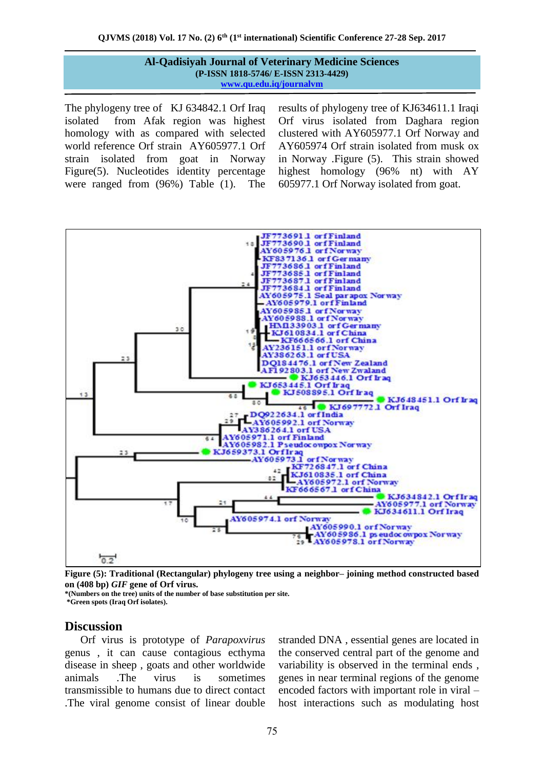The phylogeny tree of KJ 634842.1 Orf Iraq isolated from Afak region was highest homology with as compared with selected world reference Orf strain AY605977.1 Orf strain isolated from goat in Norway Figure(5). Nucleotides identity percentage were ranged from (96%) Table (1). The

results of phylogeny tree of KJ634611.1 Iraqi Orf virus isolated from Daghara region clustered with AY605977.1 Orf Norway and AY605974 Orf strain isolated from musk ox in Norway .Figure (5). This strain showed highest homology (96% nt) with AY 605977.1 Orf Norway isolated from goat.



**Figure (5): Traditional (Rectangular) phylogeny tree using a neighbor– joining method constructed based on (408 bp)** *GIF* **gene of Orf virus.**

**\*(Numbers on the tree) units of the number of base substitution per site.**

**\*Green spots (Iraq Orf isolates).**

### **Discussion**

Orf virus is prototype of *Parapoxvirus* genus , it can cause contagious ecthyma disease in sheep , goats and other worldwide animals .The virus is sometimes transmissible to humans due to direct contact .The viral genome consist of linear double

stranded DNA , essential genes are located in the conserved central part of the genome and variability is observed in the terminal ends , genes in near terminal regions of the genome encoded factors with important role in viral – host interactions such as modulating host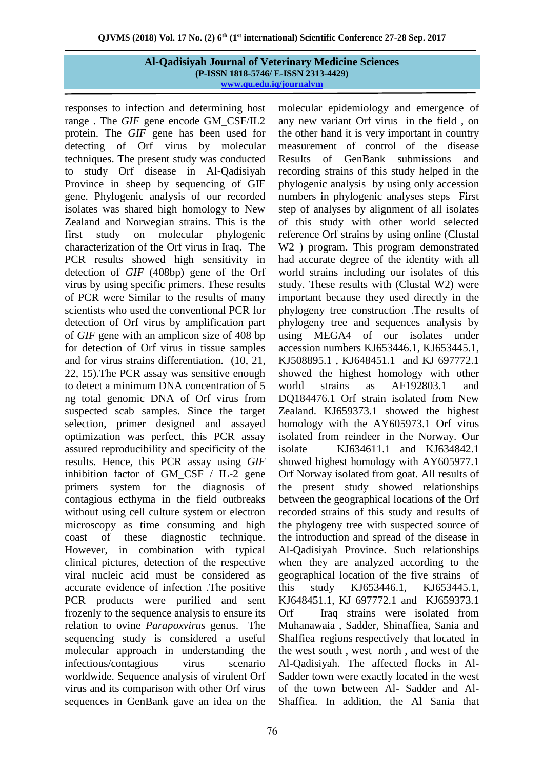responses to infection and determining host range . The *GIF* gene encode GM\_CSF/IL2 protein. The *GIF* gene has been used for detecting of Orf virus by molecular techniques. The present study was conducted to study Orf disease in Al-Qadisiyah Province in sheep by sequencing of GIF gene. Phylogenic analysis of our recorded isolates was shared high homology to New Zealand and Norwegian strains. This is the first study on molecular phylogenic characterization of the Orf virus in Iraq. The PCR results showed high sensitivity in detection of *GIF* (408bp) gene of the Orf virus by using specific primers. These results of PCR were Similar to the results of many scientists who used the conventional PCR for detection of Orf virus by amplification part of *GIF* gene with an amplicon size of 408 bp for detection of Orf virus in tissue samples and for virus strains differentiation. (10, 21, 22, 15).The PCR assay was sensitive enough to detect a minimum DNA concentration of 5 ng total genomic DNA of Orf virus from suspected scab samples. Since the target selection, primer designed and assayed optimization was perfect, this PCR assay assured reproducibility and specificity of the results. Hence, this PCR assay using *GIF* inhibition factor of GM\_CSF / IL-2 gene primers system for the diagnosis of contagious ecthyma in the field outbreaks without using cell culture system or electron microscopy as time consuming and high coast of these diagnostic technique. However, in combination with typical clinical pictures, detection of the respective viral nucleic acid must be considered as accurate evidence of infection .The positive PCR products were purified and sent frozenly to the sequence analysis to ensure its relation to ovine *Parapoxvirus* genus. The sequencing study is considered a useful molecular approach in understanding the infectious/contagious virus scenario worldwide. Sequence analysis of virulent Orf virus and its comparison with other Orf virus sequences in GenBank gave an idea on the

molecular epidemiology and emergence of any new variant Orf virus in the field , on the other hand it is very important in country measurement of control of the disease Results of GenBank submissions and recording strains of this study helped in the phylogenic analysis by using only accession numbers in phylogenic analyses steps First step of analyses by alignment of all isolates of this study with other world selected reference Orf strains by using online (Clustal W2 ) program. This program demonstrated had accurate degree of the identity with all world strains including our isolates of this study. These results with (Clustal W2) were important because they used directly in the phylogeny tree construction .The results of phylogeny tree and sequences analysis by using MEGA4 of our isolates under accession numbers KJ653446.1, KJ653445.1, KJ508895.1 , KJ648451.1 and KJ 697772.1 showed the highest homology with other world strains as AF192803.1 and DQ184476.1 Orf strain isolated from New Zealand. KJ659373.1 showed the highest homology with the AY605973.1 Orf virus isolated from reindeer in the Norway. Our isolate KJ634611.1 and KJ634842.1 showed highest homology with AY605977.1 Orf Norway isolated from goat. All results of the present study showed relationships between the geographical locations of the Orf recorded strains of this study and results of the phylogeny tree with suspected source of the introduction and spread of the disease in Al-Qadisiyah Province. Such relationships when they are analyzed according to the geographical location of the five strains of this study KJ653446.1, KJ653445.1, KJ648451.1, KJ 697772.1 and KJ659373.1 Orf Iraq strains were isolated from Muhanawaia , Sadder, Shinaffiea, Sania and Shaffiea regions respectively that located in the west south , west north , and west of the Al-Qadisiyah. The affected flocks in Al-Sadder town were exactly located in the west of the town between Al- Sadder and Al-Shaffiea. In addition, the Al Sania that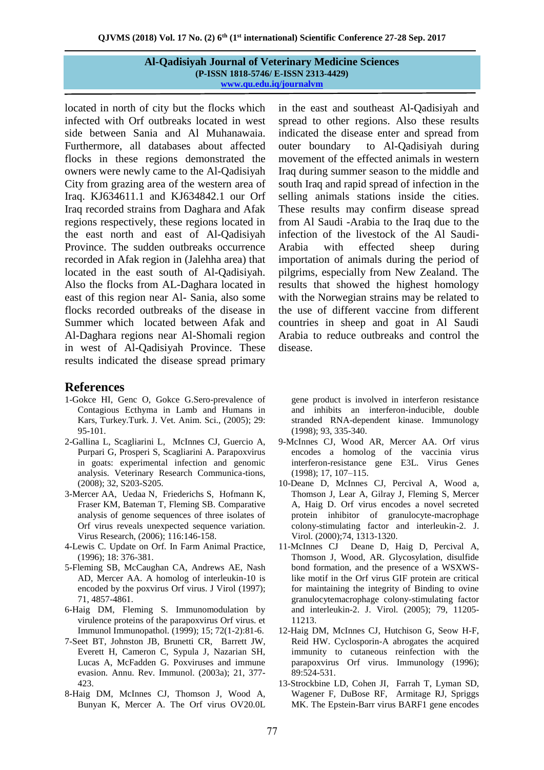located in north of city but the flocks which infected with Orf outbreaks located in west side between Sania and Al Muhanawaia. Furthermore, all databases about affected flocks in these regions demonstrated the owners were newly came to the Al-Qadisiyah City from grazing area of the western area of Iraq. KJ634611.1 and KJ634842.1 our Orf Iraq recorded strains from Daghara and Afak regions respectively, these regions located in the east north and east of Al-Qadisiyah Province. The sudden outbreaks occurrence recorded in Afak region in (Jalehha area) that located in the east south of Al-Qadisiyah. Also the flocks from AL-Daghara located in east of this region near Al- Sania, also some flocks recorded outbreaks of the disease in Summer which located between Afak and Al-Daghara regions near Al-Shomali region in west of Al-Qadisiyah Province. These results indicated the disease spread primary

### **References**

- 1-Gokce HI, Genc O, Gokce G.Sero-prevalence of Contagious Ecthyma in Lamb and Humans in Kars, Turkey.Turk. J. Vet. Anim. Sci., (2005); 29: 95-101.
- 2-Gallina L, Scagliarini L, McInnes CJ, Guercio A, Purpari G, Prosperi S, Scagliarini A. Parapoxvirus in goats: experimental infection and genomic analysis. Veterinary Research Communica-tions, (2008); 32, S203-S205.
- 3-Mercer AA, Uedaa N, Friederichs S, Hofmann K, Fraser KM, Bateman T, Fleming SB. Comparative analysis of genome sequences of three isolates of Orf virus reveals unexpected sequence variation. Virus Research, (2006); 116:146-158.
- 4-Lewis C. Update on Orf. In Farm Animal Practice, (1996); 18: 376-381.
- 5-Fleming SB, McCaughan CA, Andrews AE, Nash AD, Mercer AA. A homolog of interleukin-10 is encoded by the poxvirus Orf virus. J Virol (1997); 71, 4857-4861.
- 6-Haig DM, Fleming S. Immunomodulation by virulence proteins of the parapoxvirus Orf virus. et Immunol Immunopathol. (1999); 15; 72(1-2):81-6.
- 7-Seet BT, Johnston JB, Brunetti CR, Barrett JW, Everett H, Cameron C, Sypula J, Nazarian SH, Lucas A, McFadden G. Poxviruses and immune evasion. Annu. Rev. Immunol. (2003a); 21, 377- 423.
- 8-Haig DM, McInnes CJ, Thomson J, Wood A, Bunyan K, Mercer A. The Orf virus OV20.0L

in the east and southeast Al-Qadisiyah and spread to other regions. Also these results indicated the disease enter and spread from outer boundary to Al-Qadisiyah during movement of the effected animals in western Iraq during summer season to the middle and south Iraq and rapid spread of infection in the selling animals stations inside the cities. These results may confirm disease spread from Al Saudi -Arabia to the Iraq due to the infection of the livestock of the Al Saudi-Arabia with effected sheep during importation of animals during the period of pilgrims, especially from New Zealand. The results that showed the highest homology with the Norwegian strains may be related to the use of different vaccine from different countries in sheep and goat in Al Saudi Arabia to reduce outbreaks and control the disease.

gene product is involved in interferon resistance and inhibits an interferon-inducible, double stranded RNA-dependent kinase. Immunology (1998); 93, 335-340.

- 9-McInnes CJ, Wood AR, Mercer AA. Orf virus encodes a homolog of the vaccinia virus interferon-resistance gene E3L. Virus Genes (1998); 17, 107–115.
- 10-Deane D, McInnes CJ, Percival A, Wood a, Thomson J, Lear A, Gilray J, Fleming S, Mercer A, Haig D. Orf virus encodes a novel secreted protein inhibitor of granulocyte-macrophage colony-stimulating factor and interleukin-2. J. Virol. (2000);74, 1313-1320.
- 11-McInnes CJ Deane D, Haig D, Percival A, Thomson J, Wood, AR. Glycosylation, disulfide bond formation, and the presence of a WSXWSlike motif in the Orf virus GIF protein are critical for maintaining the integrity of Binding to ovine granulocytemacrophage colony-stimulating factor and interleukin-2. J. Virol. (2005); 79, 11205- 11213.
- 12-Haig DM, McInnes CJ, Hutchison G, Seow H-F, Reid HW. Cyclosporin-A abrogates the acquired immunity to cutaneous reinfection with the parapoxvirus Orf virus. Immunology (1996); 89:524-531.
- 13-Strockbine LD, Cohen JI, Farrah T, Lyman SD, Wagener F, DuBose RF, Armitage RJ, Spriggs MK. The Epstein-Barr virus BARF1 gene encodes